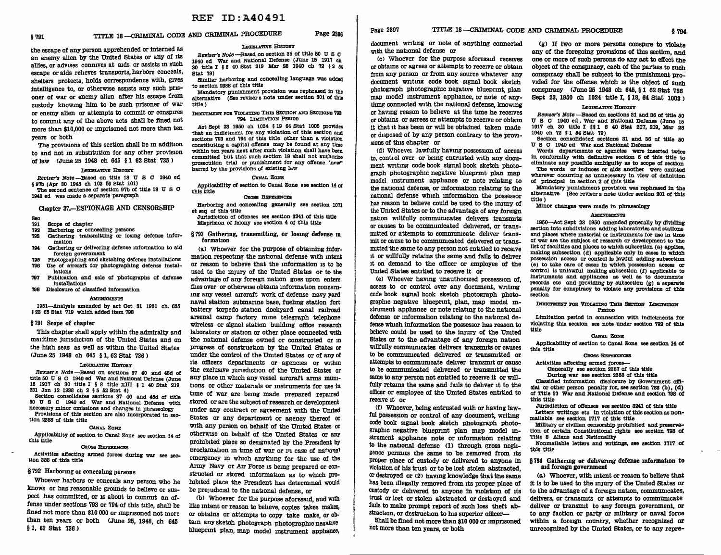# § 791 TITLE 18 -- CRIMINAL CODE AND CRIMINAL PROCEDURE Page 2396

the escape of any person apprehended or interned as an enemy alien by the United States or any of its allies, or advises connives at aids or assists in such escape or aids relieves transports, harbors conceals, shelters protects, holds correspondence with, gives intelligence to, or otherwise assists any such prisoner of war or enemy alien after his escape from custody knowing him to be such prisoner of war or enemy alien or attempts to commit or conspires to commit any of the above acts shall be fined not more than \$10,000 or imprisoned not more than ten years or both

The provisions of this section shall be in addition to and not m substitution for any other provision of law CJune 25 1948 ch 645 § 1 62 Stat 735 >

### LEGISLATIVE HISTORY

Beviser's Note -Based on title 18 U S C 1940 ed § 97b (Apr 30 1945 ch 103 59 Stat 101)

The second sentence of section 97b of title 18 U S C 1940 ed was made a separate paragraph

# Chapter 37.-ESPIONAGE AND CENSORSHIP

- Sec<br>791
- 791 Scope of chapter<br>792 Harboring or con
- Harboring or concealing persons
- 793 Gathering transmitting or losing defense information
- 794 Gathering or delivering defense information to aid foreign government
- 795 Photographing and sketching defense installations 796 Use of aircraft for photographing defense instal-
- lations 797 Publication and sale of photographs of defense installations
- 798 Disclosure of classified information

### **AMENDMENTS**

1951-Analysls amended by act Oct 31 1951 ch. 655 I 23 65 Stat 719 Which added item 798

# § 791 Srope of chapter

'Ibis chapter shall apply within the admiralty and mailtime jurisdiction of the United States and on the high seas as well as withm the United States CJune 25 1948 ch 645 § 1, 62 Stat 736 >

### LEGISLATIVE HISTORY

Revuser s Note -Based on sections 37 40 and 45d of title 50 U S c 1940 ed War and National Defense (June 15 1917 ch 30 title I § 8 title XIII § 1 40 Stat 219 231 Jan 12 1938 ch 2 § 5 52 Stat 4)

Section consolidates sections 37 40 and 45d of title 50 U S c 1940 ed War and National Defense with necessary minor omissions and changes in phraseology Provisions of this section are also incorporated in section 2388 of this title

### CANAL ZONE

Applicablllty of section to Canal Zone see section 14 of this title

## CROSS REFERENCES

Activities affecting armed forces during war see sec- tion 388 of this title

# § 792 Harboring or concealing persons

Whoever harbors or conceals any person who he knows or has reasonable grounds to believe or suspect has committed, or 1s about to commit an offense under sections 793 or 794 of this title, shall be fined not more than \$10 000 or imprisoned not more than ten years or both (June 25, 1948, ch 645 § 1, 62 Stat 736)

# LEGISLATIVE HlsTOKY

Reviser's Note --Based on section 35 of title 50 U S C 1940 ed war and National Defense (June 15 1917 ch 30 title I § 6 40 Stat 219 Mar 28 1940 ch 72 § 2 54 Stat 79) Similar harboring and concealing language was added

# to section 2388 of this title

Mandatory punishment provision was rephrased in the alternative (See revisers note under section 201 of this title)

## INDICTMENT FOR VIOLATING THIS SECTION AND SECTIONS 793 794 LIMITATION PERIOD

Act Sept 23 1950 ch 1024 § 19 64 Stat 1005 provides that an indictment for any violation of this section and sections 793 and 794 of this title other than a violation constituting a capital offense may be found at any time within ten years next after such violation shall have been committed but that such section 19 shall not authorize prosecution trial or punishment for any offense 'now" barred by the provisions of existing law

# CANAL ZONE

Applicability of section to Canal Zone see section  $14$  of this title

# CROSS REFERENCES

Harboring and concealing generally see section 1071 et seq of this title

Jurisdiction of offenses see section 3241 of this title Misprision of felony see section 4 of this title

§ 793 Gathering, transm1ttmg, or losing defense m formation

ca> Whoever for the purpose of obtaming information respectmg the national defense with intent or reason to beheve that the information 1s to be used to the injury of the United States or to the advantage of any foreign nation goes upon enters flies over or otherwise obtains information concerning any vessel aircraft work of defense navy yard naval station submarme base, fuelmg station fort battery torpedo station dockyard canal railroad arsenal camp factory mine telegraph telephone wireless or signal station building office research laboratory or station or other place connected with the national defense owned or constructed or m progress of construction by the United States or under the control of the United States or of any of its officers departments or agencies or within the exclUSive JUr1sd1ction of the Umted States or any place in which any vessel aircraft arms mumtions or other materials or instruments for use in time of war are bemg made prepared repaired stored or are the subject of research or development under any contract or agreement with the United States or any department or agency thereof or with any person on behalf of the United States or otherwise on behalf of the United States or any prohibited place so designated by the President by proclamation in time of war or in case of national emergency in which anythmg for the use of the Army Navy or Air Force is being prepared or constructed or stored information as to which prohibited place the President has determined would be prejudicial to the national defense, or

(b) Whoever for the purpose aforesaid, and with like intent or reason to believe, copies takes makes, or obtains or attempts to copy take make, or obtain any sketch photograph photographic negative blueprint plan, map model instrument apphance,

document wntmg or note of anything connected with the national defense or

Cc> Whoever for the purpose aforesaid receives or obtains or agrees or attempts to receive or obtain from any person or from any source whatever any document writing code book signal book sketch photograph photographic negative blueprint, plan map model instrument appliance, or note of anything connected with the national defense, knowing or having reason to believe at the tune he receives or obtams or agrees or attempts to receive or obtain it that it has been or will be obtained taken made or disposed of by any person contrary to the provisions of this chapter or

(d) Whoever lawfully having possession of access to, control over or being entrusted with any document wr1tmg code book signal book sketch photograph photographic negative blueprmt plan map model instrument appliance or note relatmg to the national defense, or information relating to the national defense which information the possessor has reason to believe could be used to the imury of the United States or to the advantage of any foreign nation willfully communicates delivers transmits or causes to be communicated delivered, or transmitted or attempts to communicate deliver transmit or cause to be commumcated dehvered or transmitted the same to any person not entitled to receive 1t or willfully retains the same and fails to dehver it on demand to the officer or employee of the Umted States entitled to receive it or

Ce> Whoever having unauthorized possession of, access to or control over any document, writing code book signal book sketch photograph photographic negative blueprint, plan, map model instrument appliance or note relating to the national defense or information relating to the national defense which information the possessor has reason to believe could be used to the injury of the United States or to the advantage of any foreign nation willfully communicates delivers transmits or causes to be commumcated dellvered or transmitted or attempts to communicate dehver transmit or cause to be communicated delivered or transmitted the same to any person not entitled to receive it or willfully retains the same and fails to deliver it to the officer or employee of the United States entitled to receive it or

(f) Whoever, being entrusted with or having lawful possession or control of any document, writing code book signal book sketch photograph photographic negative blueprint plan map model instrument apphance note or information relating to the national defense (1) through gross neghgence permits the same to be removed from its Proper place of custody or delivered to anyone in violation of his trust or to be lost stolen abstracted, or destroyed or C2> havmg knowledge that the same has been illegally removed from its proper place of custody or dehvered to anyone in violation of its trust or lost or stolen abstracted or destioyed and fails to make prompt report of such loss theft abstraction, or destruction to his superior officer-

Shall be fined not more than \$10 000 or imprisoned not more than ten years, or both

 $(g)$  If two or more persons conspire to violate any of the foregoing provisions of this section, and one or more of such persons do any act to effect the obJect of the conspiracy, each of the parties to such conspiracy shall be subJect to the punishment provided for the offense which is the object of such conspiracy CJune 25 1948 ch 645, § 1 62 Stat 736 Sept 23, 1950 ch 1024 title I, § 18, 64 Stat 1003 )

## LEGISLATIVE HISTORY

Reviser's Note -Based on sections 31 and 36 of title 50 U S C 1940 ed, War and National Defense (June 16 1917 ch 30 title I §§ 1 6 40 Stat 217, 219, Mar 28 1940 ch 72 § 1 54 Stat 79)

Section consolidated sections 31 and 36 of title 50 U S c 1940 ed War and National Defense

Words departments or agencies were inserted twice in conformity with definitive section 6 of this title to eliminate any possible ambiguity as to scope of section The words or induces or aids another were omitted wherever occurring as unnecessary in view of definition of principal in section 2 of this title

Mandatory punishment provision was rephrased in the alternative (See revisers note under section 201 of this title)

Minor changes were made in phraseology

# **AMENDMENTS**

1950-Act Sept 23 1950 amended generally by dividing section into subdivisions adding laboratories and stations and places where material or instruments for use in time of war are the subject of research or development to the list of facilities and places to which subsection (a) applies, making subsection (d) applicable only in cases in which possession access or control is lawful adding subsection ( e) to take care of cases in which possession access or control Is unlawful making subsection (f) applicable to instruments and appliances as well as to documents records etc and providing by subsection (g) a separate penalty for conspiracy to violate any provisions of this section

## INDICTMENT FOR VIOLATING THIS SECTION LIMITATION PERIOD

Limitation period in connection with indictments for violating this section see note under section 792 of this title

CANAL ZONE

Applicability of section to canal Zone see section 14 of this title

## **CROSS REFERENCES**

Activities affecting armed forces--Generally see section 2387 of this title

During war see section 2388 of this title

Classified information disclosure by Government om. cial or other person penalty for, see section 783 (b), (d) o! Title 50 War and National Defense and section '198 of this title

Jurisdiction of offenses see section 3241 of this title Letters writings etc in violation of this section as nonmailable see section 1717 of this title

Military or civilian censorship prohibited and preservation of certain Constitutional rights see section 798 of

Title 8 Allens and Nationality Nonmaila.ble letters and writings, see section 1717 of this title

## § 794 Gathering or delivering defense information to aid foreign government

(a) Whoever, with intent or reason to believe that it is to be used to the injury of the United States or to the advantage of a foreign nation, communicates, delivers, or transmits or attempts to communicate deliver or transmit to any foreign government, or to any faction or party or military or naval force within a foreign country, whether recognized or unrecognized by the Umted States, or to any repre-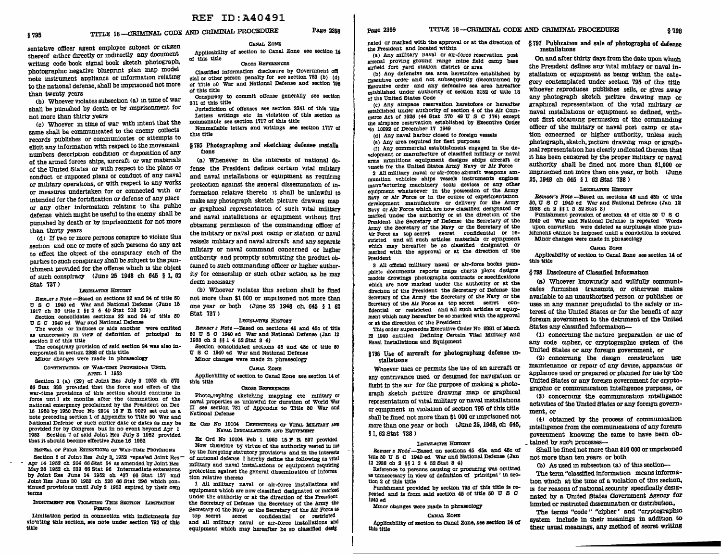# § '195 TITLE 18-CRIMINAL CODE AND CRIMINAL PROCEDURE Page 2398

sentative officer agent employee subJect or citizen thereof either directly or mdirectly any document writing code book signal book sketch photograph, photographic negative blueprint plan map model note mstrument appliance or mformation relating to the national defense, shall be unprisoned not more than twenty years

(b) Whoever violates subsection (a) in time of war shall be pumshed by death or by imprisonment for not more than thirty years

Cc> Whoever m time of war with intent that the same shall be communicated to the enemy collects records publishes or communicates or attempts to elicit any information with respect to the movement numbers description condition or disposition of any of the armed forces ships, aircraft or war materials of the United States or with respect to the plans or conduct or suppased plans or conduct of any naval or mihtary operations, or with respect to any works or measures undertaken for or connected with or mtended for the fortification or defense of any place or any other information relating to the publlc defense which might be useful to the enemy shall be punished by death or by imprisonment for not more than thirty years

 $(d)$  If two or more persons conspire to violate this section and one or more of such persons do any act to effect the object of the conspiracy each of the parties to such conspiracy shall be subJect to the punishment provided for the ofiense which IS the object of such conspiracy <June 25 1948 ch 645 § 1, 62 Stat 737)<br>Legislative History

*Bevi.er a* Note -Based on sections 82 and 84 of title 60 <sup>U</sup>S c 1940 ed War and National Defense (June 16 1917 ch 30 title I §§ 2 4 40 Stat 218 219)

Section consolidates sections 32 and 34 of title 50 U S C 1940 ed War and National Defense

as unnecessary in view of definition of principal in section 2 of this title

The conspiracy provision of said section 34 was also incorporated In section 2888 of this title

Minor changes were made in phraseology

## CONTINUATION OF WAR-TIME PROVISIONS UNTIL APRIL 1 1953

Section 1 (a)  $(29)$  of Joint Res July 3 1952 ch 570 66 Stat 833 prouded that the force and effect of the war-time provisions of this section should continue in force unt 1 six months after the termination of the national emergency proclaimed by the President on Dec 16 1950 by 1950 Proc No 2914 15  $F$  R 9029 set out as a note preceding section 1 of Appendix to Title 50 War and National Defense or such earlier date or dates as may be provided for by Congress but In no event beyond Apr 1 1953 Section 7 of said Joint Res July 3 1952 provided that it should become effective June 16 1952

REPEAL OF PRIOR EXTENSIONS OF WAR-TIME PROVISIONS Section 6 of Joint Res July 3, 1952 repealed Joint Res-<br>Apr 14 1952 ch 204 66 Stat 54 as amended by Joint Res May 28 1952 ch 339 66 Stat 96 Intermediate extensions by Joint Res June 14 1952 ch 487 66 Stat 187 and Joint Res June 30 1952 ch 528 66 Stat 296 which con-<br>tinued provisions until July 3 1952 expired by their own terms

## INDICTMENT FOR VIOLATING THIS SECTION LIMITATION PERIOD

Limitation period in connection with indictments for vlo1atlng this section, see note under section 792 of this title

# CANAL ZONE

Applicability of section to Canal Zone see section 14 of this title CROSS REFERENCES

Classified information disclosure by Government om cial or other person penalty for see section 783 (b) (d) of Title oO War and National Defense and section 798 of this title

Conspiracy to commit offense generally see section 371 of this title

Jurisdiction of offenses see section 8241 of this title Letters writings etc in violation of this section as nonmallable see section 1717 of this title

Nonmailable letters and writings see section 1717 o! this title

§ 795 Photographmg and sketching defense mstalla tions

(a) Whenever in the interests of national defense the President defines certain vital military and naval mstallations or equipment as requiring protection agamst the general dissemination of information relative thereto it shall be unlawful to make any photograph sketch picture drawmg map or graphical representation of such vital military and naval installations or eqwpment without first obtaining permission of the commanding officer of the military or naval post camp or station or naval vessels milltary and naval aircraft and any separate milltary or naval command concerned or higher authority and promptly submitting the product obtained to such commanding officer or higher authority for censorship or such other action as he may deem necessary

(b) Whoever violates this section shall be fined not more than \$1 000 or imp1 isoned not more than one year or both <June 25 1948 ch. 645 § 1 62 Stat 737)<br>Legislative History

*Beviser s* Note -Based on sections 45 and 45c of title 60 U S C 1940 ed War and National Defense (Jan 12 1938 ch 2 § § 1 4 52 Stat S 4)

Section consolidated sections 45 and 45c of title 50 U S C 1940 ed War and National Defense

Minor changes were made In phraseology

# CANAL Zom:

Appllcablllty of section to Canal Zone see section 14 of this title

# CROSS REFERENCES

Photobraphlng sketching mapping etc military or naval properties as unlawful for duration of World War II see section '781 of Appendix to Title 50 War and National Defense

## EX ORD NO 10104 DEFINITIONS OF VITAL MILITARY AND NAVAL INSTALLATIONS AND EQ'OJPMENT

Ex Ord No 10104 Feb 1 1960 15 P' R 597 provided Now therefore by virtue of the authority vested 1n me by the foregoing statutory provisions and in the interests Of national defense I hereby define the following as vital military and naval lnstahatlons or equipment requiring protection against the general dissemination of informs tion relative thereto

1 All milltary naval or air-force installations and equipment which are now classified designated or marked under the authority or at the direction of the President the Secretary of Defense the Secretary of the Army the Secretary of the Navy or the Secretary of the Air Force as top secret secret confidential or restricted and all m1lltary naval or air-force Installations and equipment which may hereafter be so classified deslg

nated or marked with the approval or at the direction of § 797 Pubhcation and sale of photographs of defense the President and located within

{a) Any mllltary naval or air-force reservation post arsenal proving ground range mine field camp base airfield fort yard station district or area

(bl Any defensive sea area heretofore established by rxecutive order and not subsequently discontinued by Executive order and any defensive sea area hereafter established under authority of section 2152 of title 18 of the United States Code

(c) Any airspace reservation heretofore or hereafter established under authority of section 4 of the Air Commerce Act of 1926 (44 Stat 570 49 U S C 174) except the airspace reservation established by Executive Order *'lo* 10092 of December 17 1949

- (d) Any naval harbor closed to foreign vessels
- (el Any area required for fleet purposes

 $(t)$  Any commercial establishment engaged in the de-<br>velopment or manufacture of classified military or naval arms munitions equipment designs ships aircraft or vessels for the United States Army Navy or Air Force

2 All mll1tary naval or air-force aircraft weapons ammunition vehicles ships vessels Instruments engines manu'acturing machinery tools devices or any other equipment whatsoever In the possession of the Mmy Navy or Air Force or in tbe course of experimentation development manufacture or delivery for the Army<br>Navy or Air Force which are now classified designated or marked under the authority or at the direction of the President the Secretary of Defense the Secretary of the Army the Secretary of the Navy or the Secretary of the Air Force as top secret secret confidential or restricted and all such articles materials or equipment which may hereafter be so classified designated or marked with the approval or at the direction of the President

3 All omclal military naval or air-force books pamphlets documents reports maps charts plans designs models drawings photographs contracts or soecifications which are now marked under the authority or at the direction of the President the Secretary of Defense the Secretary of the Army the Secretary of the Navy or the Secretary of the Air Force as top secret secret confidential or restricted and all such articles or equipment which may hereafter be so marked with the approval or at the direction of the President

This order supersedes Executive Order No 8381 of March 22 1940 entitled Defining Certain Vital Military and Naval Installations and Equipment

# §796 Use of aircraft for photographing defense installations

Whoever uses or permits the use of an aircraft or any contrivance used or designed for navigation or flight in the air for the purpose of making a photograph sketch picture drawmg map or graphical representation of vital military or naval installations or equipment in violation of section 795 of this title shall be fined not more than \$1 000 or imprisoned not more than one year or both <June 25, 1948, ch 645. § 1, 62 Stat 738)

### LEGISLATIVE HISTORY

Retnser 3 Note--Based on sections 45 45a and 45c of title 60 U s C 1940 ed War and National Defense (Jan 12 1938 ch 2 §§ 1 2 4 52 Stat S 4)

Reference to persons causing or procuring was omitted as unnecessary in view of definition of principal ' in section 2 of this title

Punishment provided by section 795 of this title ls repeated and is from said section 45 of title 50 U S C 1940 ed

# Minor changes were made in phraseology

### CANAL Zom:

Applicabllity of section to Canal Zone, see section 14 of this title

# installations

On and after thirty days from the date upon which the President defines any vital military or naval installation or equipment as bemg withm the category contemplated under section 795 of this title whoever reproduces publishes sells, or gives away any photograph sketch picture drawing map or graphical representation of the vital military or naval mstallations or equipment so defined, without first obtaining permission of the commanding officer of the nnlitary or naval post camp or station concerned or higher authority, unless such photograph, sketch, picture drawing map or graphical representation has clearly mdicated thereon that it has been censored by the proper nulitary or naval authority shall be fined not more than \$1,000 or imprisoned not more than one year, or both (June 25, 1948 ch 645 § 1 62 Stat 738 )

## LEGISLATIVE HISTORY

*Beviser's Note* -Based on sections 45 and 45b of title 50, U S C 1940 ed War and National Defense (Jan 12 1938 ch 2 §§ 1 S 52 Stat 3)

Punishment provision of section 45 of title 50 U s C 1940 ed War and National Defense is repeated Words upon conviction were deleted as surplusage since punishment cannot be Imposed until a conviction Is secured Minor changes were made in phlaseology

## CANAL ZoNE

Appllcabll1ty of section to Canal Zone see section 14 of this title

# § 798 Disclosure of Classified Information

(a) Whoever knowingly and willfully communicates furnishes transmits, or otherwise makes available to an unauthorized person or publishes or uses in any manner prejudicial to the safety or interest of the Umted States or for the benefit of any foreign government to the detrunent of the United States any classified information-

Cl) concerning the nature preparation or use of any code cipher, or cryptographic system of the United States or any foreign government, or

(2) concerning the design construction use maintenance or repair of any device, apparatus or appliance used or prepared or planned for use by the United States or any foreign government for cryptographic or communication intelligence purposes, or

C3) concermng the commumcation mtelhgence activities of the United States or any foreign government, or

<4> obtamed by the process of communication mtell1gence from the commumcations of any foreign government knowing the same to have been ob tained by such processes--

Shall be fined not more than \$10 000 or unprisoned not more than ten years or both

 $(b)$  As used in subsection  $(a)$  of this section--

The term "classified information means information which at the time of a violation of this section, IS for reasons of national security specifically designated by a Umted States Government Agency for hmited or restncted dissemination or distribution,

The terms "code" "cipher' and "cryptographic system include in their meanings in addition to their usual meanings, any method of secret writing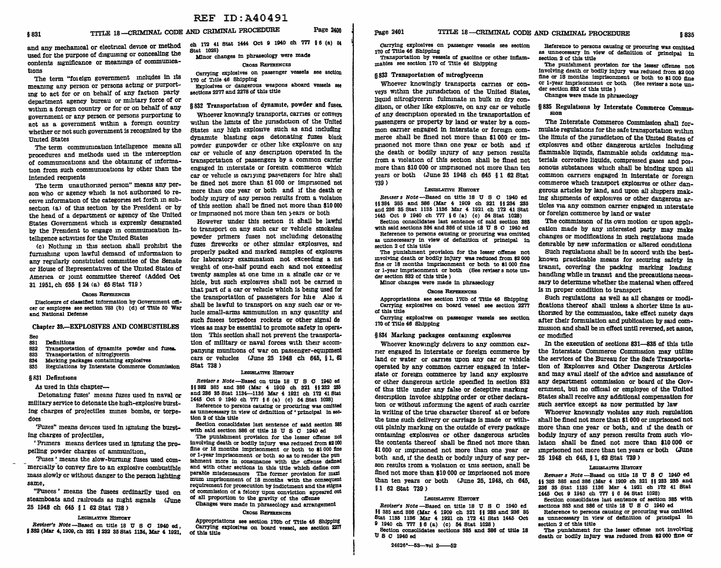and any mechamcal or electrical device or method used for the purpose of disguising or concealing the contents significance or meanings of communications

'The term "fo1elgn government includes in its mearung any person or persons acting or purportmg to act for or on behalf of any faction party department agency bureau or military force of or within a foreign country or for or on behalf of any government or any person or persons purporting to act as a government within a foreign country whether or not such government ls recognized by the Uruted States

The term communication intelligence means all procedures and methods used in the interception of communications and the obtairung of information from such communications by other than the intended recipients

The term unauthorized person" means any person who or agency which ls not authorized to receive information of the categories set forth in subsection (a) of this section by the President or by the head of a department or agency of the United States Government which is expressly designated by the President to engage in communication intelllgence activities for the United States

<c> Nothmg in this section shall prohibit the furnishing upon lawful demand of information to any regularly constituted committee of the Senate or House of Representatives of the Umted States of America or joint committee thereof (Added Oct 31 1951, ch 655 § 24 ca> 65 Stat 719 >

## CROSS REFERENCES

Disclosure of classified information by Government officer or employee see section '783 (b) (d) of Title 50 War and National Defense

Chapter 39.-EXPLOSIVES AND COMBUSTIBLES

Sec<br>831

- 831 Definitions<br>832 Transporta
- 832 Transportation of dynamite powder and fuses.<br>833 Transportation of nitroglycerin

833 Transportation of nitroglycerin<br>834 Marking packages containing ex 834 Marking packages containing explosives

Regulations by Interstate Commerce Commission

## § 831 Defimt1ons

As used in this chapter-

Detonating fUZes' means fuzes used in naval or military service to detonate the high-explosive bursting charges of projectiles mines bombs, or torpedoes

'Fuzes" means devices used in igniting the bursting charges of projectiles,

' Primers means devices used m lgruting the propelling powder charges of ammunition,

'Fuses ' means the slow-burrung fuses used commercially to convey fire to an explosive combustible mass slowly or without danger to the person lighting same,

"Fusees ' means the fusees ordinarily used on steamboats and railroads as night signals <June 25 1948 ch 645 § 1 62 Stat 738 >

## LEGISLATIVE HISTORY

Reviser's Note --Based on title 18  $U$  S C 1940 ed, § 382 (Mar 4, 1909, ch 321 § 232 35 Stat 1134, Mar 4 1921,

ch 172 41 Stat 1444 Oct 9 1940 ch 777 § 6 (a) 54 Stat 1028)

Minor changes in phraseology were made Caoss REFERENCES

carrying explosives on passenger vessels see section 1'70 of Title 46 Shipping Explosives or dangerous weapons aboard vessels see

sections 2277 and 2278 of this title

# § 832 Transportation of dynamite, powder and fuses.

Whoever knowingly transports, carries or conveys witlun the lmuts of the Jurisdiction of the United States any high explosive such as and including dynamite blasting caps detonating fuzes black powder gunpowder or other llke explosive on any car or vehicle of any descriptaon operated in the transportation of passengers by a common carrier engaged in interstate or foreign commerce which car or vehicle is cariying passengers for hire shall be fined not more than \$1 000 or lmpnsoned not more than one year or both and if the death or bodily inJury of any person results from a violation of this section shall be fined not more than \$10 000 or imprisoned not more than ten years or both

However under this section it shall be lawful to transport on any such car or vehicle smokeless powder primers fuses not mcludmg detonating fuzes fireworks or other similar explosives, and properly packed and marked samples of explosives for laboratory examination not exceeding a net weight of one-half pound each and not exceeding twenty samples at one time in a single car or ve hicle, but such explosives shall not be carried m that part of a car or velucle which ls bemg used for the transportation of passengers for bile Also it shall be lawful to transport on any such car or vehicle small-arms ammunition in any quantity and such fusees torpedoes rockets or other signal de vices as may be essential to promote safety in operation This section shall not prevent the transportation of military or naval forces with their accompanying munitions of war on passenger-equipment cars or vehicles <June 25 1948 ch 645, § 1, 62 Stat 738)

## LEGISLATIVE HISTORY

Revisers Note-Based on title 18 U S C 1940 ed §§ 882 885 and 888 (Mar 4 1909 ch 821 §§ 232 <sup>285</sup> and 286 85 Stat 1134-1136 Mar 4 1921 ch 172 41 Stat 1445 OCt 9 1940 ch '7'77 § 6 (a) (c) 54 Stat 1028)

Reference to persons causing or procuring was omitted as unnecessary in view of definition of 'principal in section 2 of this title

Section consolidates last sentence of said section 885 with said section 886 *a!* title 18 U S C 1940 ed

The punishment provision for the lesser offense not Involving death or bodily Injury was reduced from 12 000 fine or 18 months imprisonment or both to \$1 000 fine or 1-year Imprisonment or both so as to render the pun ishment more in consonance with the offense defined and with other sections in this title which define com parable misdemeanors The former provision for maxi mum imprisonment of 18 months with the consequent requirement for prosecution by Indictment and the stigma of commission of a felony upon conviction appeared out of all proportion to the gravity of the offense Changes were made In phraseology and arrangement

CROSS REFERENCES

Appropriations see section 1'70b of Title 46 Shipping Carrying explosives on board vessel, see section 2277 of this title

page 2401 TITLE 18 -- CRIMINAL CODE AND CRIMINAL PROCEDURE § 835

Carrying explosives on passenger vessels see section 1'70 of Title 46 Shipping

Transportation by vessels of gasoline or other Inflammables see section 170 of Title 46 Shipping

# § 833 Transportation of mtroglycenn

Whoever knowingly transports carries or conveys within the Jurisdiction of the United States, liquid nitroglycerin fulminate in bulk in dry condition, or other like explosive, on any car or vehicle of any description operated in the transportation of passengers or property by land or water by a common carrier engaged in interstate or foreign commerce shall be fined not more than \$1 000 or imprisoned not more than one year or both and if the death or bodily mJury of any person results from a violation of this section shall be fined not more than \$10 000 or imprisoned not more than ten years or both (June 25 1948 ch 645 § 1 62 Stat 739)

## LEGISLATIVE HISTORY

Reviser s Note --Based on title 18 U S C 1940 ed §§ 384 385 and 886 (Mar 4 1909 ch 821 §§ 284 285 and 236 35 Stat 1135 1186 Mar 4 1921 ch 1'72 41 Stat 1445 Oct 9 1940 ch '1'7'7 § 6 (a) (c) 54 Stat 1028) Section consolidates last sentence of said section 885 with said sections  $384$  and  $386$  of title 18  $\overline{U}$  S  $C$  1940 ed Reference to persons causing or procuring was omitted as unnecessary In view of definition of principal In section 2 of this title

The punishment provision for the lesser offense not mvolvlng death or bodily Injury was reduced from \$2 000 fine or 18 months imprisonment or both to  $*1000$  fine or 1-year imprisonment or both (See revisers note under section 832 of this title )

Minor changes were made In phraseology

## CROSS REFERENCES

Appropriations see section 1'70b of Title 46 Shipping Carrying explosives on board vessel see section 22'7'7 of this title

Carrying explosives on passenger vessels see section 170 of Title 46 Shipping

# § 834 Marking packages containing explosives

Whoever knowingly delivers to any common carrier engaged in interstate or foreign commerce by land or water or carnes upon any car or vehicle operated by any common earner engaged in interstate or foreign commerce by land any explosive or other dangerous article specrlled in section 832 of this title under any false or deceptive marklng description invoice shipping order or other declaration or without informing the agent of such carrier in writing of the true character thereof at or before the time such delivery or carriage is made or without plainly marking on the outside of every package containing explosives or other dangerous articles the contents thereof shall be fined not more than \$1 000 or imprisoned not more than one year or both and, if the death or bodily injury of any person results 1rom a violation of this section, snall be fined not more than \$10 000 or imprisoned not more than ten years or both <June 25, 1948, ch 645, § 1 62 Stat 739 >

## LEGISLATIVE HISTORY

Reviser's Note --- Based on title 18 U S C 1940 ed §§ 385 and 386 (Mar 4 1909 ch 321 §§ 235 and 236 35 Stat 1135 1136 Mar 4 1921 ch 172 41 Stat 1445 Oct 9 1940 ch '7'7'7 § 6 (a) (c) 54 Stat 1028 )

Section consolidates sections 385 and 386 of title 18 us c 1940ed

24626°-53-vol 2--52

Reference to persons causing or procuring was omitted as unnecessary in view of definition of principal in section 2 of this title

The punishment provision for the lesser offense not involving death or bodily injury was reduced from \$2 000 fine or 18 months imprisonment or both to \$1 000 fine or 1-year imprisonment or both (See revisers note un- der section 832 of this title )

# Changes were made In phraseology

# § 835 Regulations by Interstate Commerce Commission

The Interstate Commerce Commission shall formulate regulations for the safe transportation witlun the limlts of the Jurisdiction of the Umted States of explosives and other dangerous articles including flammable liquids, flammable solids oxidizing materials corrosive liquids, compressed gases and poisonous substances which shall be binding upon all common carriers engaged in interstate or foreign commerce which transport explosives or other dangerous articles by land, and upon all sluppers making shipments of explosives or other dangerous articles via any common carrier engaged in interstate or foreign commerce by land or water

The commission of its own motion or upon application made by any interested party may make changes or modifications in such regulations made desirable by new information or altered conditions Such regulations shall be in accord with the bestknown practicable means for securing safety in transit, covering the packing marking loading handling while m transit and the precautions necessary to determine whether the material when offered is in proper condition to transport

Such regulations as well as all changes or modifications thereof shall unless a shorter time is authorized by the commission, take effect mnety days after their formulation and publication by said commission and shall be in effect until reversed, set asiae, or modified

In the execution of sections 831-835 of this title the Interstate Commerce Commission may utiliZe the services of the Bureau for the Safe Transportation of Explosives and Other Dangerous Articles and may avail itself of the advice and assistance of any department commission or board of the Government, but no oflicial or employee of the United States shall receive any additional compensation for such service except as now permitted by law

Whoever knowingly violates any such regulation shall be fined not more than \$1000 or imprisoned not more than one year or both, and if the death or bodily inJury of any person results from such violation shall be fined not more than \$10 000 or imprisoned not more than ten years or both (June 25 1948 ch 645, § 1, 62 Stat 739 >

## LEGISLATIVE HISTORY

Reviser s Note -Based on title 18 U S C 1940 ed §§ 383 385 and 386 (Mar 4 1909 ch 821 §§ 283 235 and 286 85 Stat 1185 1136 Mar 4 1921 ch 1'72 41 Stat 1445 Oct 9 1940 ch '7'77 § 6 54 Stat 1028)

Section consolidates last sentence of section 885 with sections 383 and 386 of title 18 U S C 1940 ed

Reference to persons causing or procuring was omitted as unnecessary in view of definition of principal in section 2 of this title

The punishment for the lesser offense not Involving death or bodily injury was reduced from \$2 000 fine or